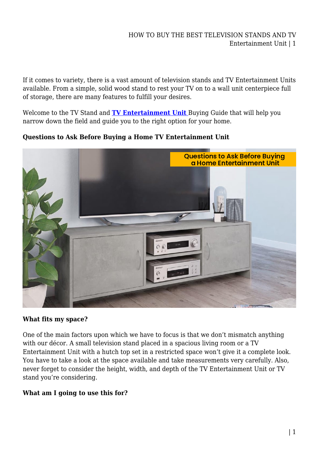### HOW TO BUY THE BEST TELEVISION STANDS AND TV Entertainment Unit | 1

If it comes to variety, there is a vast amount of television stands and TV Entertainment Units available. From a simple, solid wood stand to rest your TV on to a wall unit centerpiece full of storage, there are many features to fulfill your desires.

Welcome to the TV Stand and **[TV Entertainment Unit](https://mattressdiscount.com.au/tv-entertainment-unit/)** Buying Guide that will help you narrow down the field and guide you to the right option for your home.

**Questions to Ask Before Buying a Home TV Entertainment Unit**



#### **What fits my space?**

One of the main factors upon which we have to focus is that we don't mismatch anything with our décor. A small television stand placed in a spacious living room or a TV Entertainment Unit with a hutch top set in a restricted space won't give it a complete look. You have to take a look at the space available and take measurements very carefully. Also, never forget to consider the height, width, and depth of the TV Entertainment Unit or TV stand you're considering.

# **What am I going to use this for?**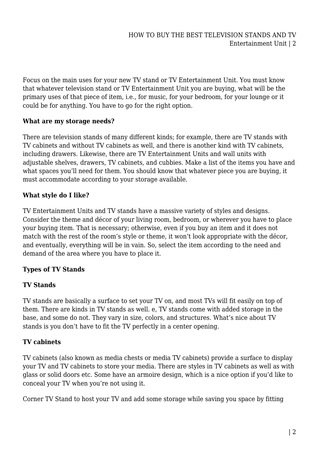Focus on the main uses for your new TV stand or TV Entertainment Unit. You must know that whatever television stand or TV Entertainment Unit you are buying, what will be the primary uses of that piece of item, i.e., for music, for your bedroom, for your lounge or it could be for anything. You have to go for the right option.

### **What are my storage needs?**

There are television stands of many different kinds; for example, there are TV stands with TV cabinets and without TV cabinets as well, and there is another kind with TV cabinets, including drawers. Likewise, there are TV Entertainment Units and wall units with adjustable shelves, drawers, TV cabinets, and cubbies. Make a list of the items you have and what spaces you'll need for them. You should know that whatever piece you are buying, it must accommodate according to your storage available.

### **What style do I like?**

TV Entertainment Units and TV stands have a massive variety of styles and designs. Consider the theme and décor of your living room, bedroom, or wherever you have to place your buying item. That is necessary; otherwise, even if you buy an item and it does not match with the rest of the room's style or theme, it won't look appropriate with the décor, and eventually, everything will be in vain. So, select the item according to the need and demand of the area where you have to place it.

# **Types of TV Stands**

#### **TV Stands**

TV stands are basically a surface to set your TV on, and most TVs will fit easily on top of them. There are kinds in TV stands as well. e, TV stands come with added storage in the base, and some do not. They vary in size, colors, and structures. What's nice about TV stands is you don't have to fit the TV perfectly in a center opening.

# **TV cabinets**

TV cabinets (also known as media chests or media TV cabinets) provide a surface to display your TV and TV cabinets to store your media. There are styles in TV cabinets as well as with glass or solid doors etc. Some have an armoire design, which is a nice option if you'd like to conceal your TV when you're not using it.

Corner TV Stand to host your TV and add some storage while saving you space by fitting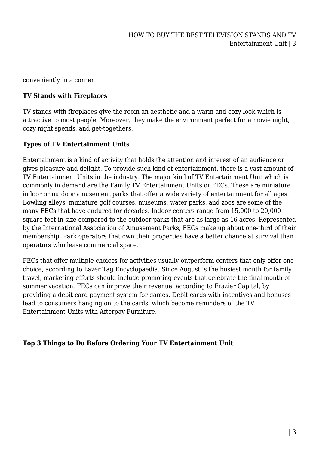conveniently in a corner.

#### **TV Stands with Fireplaces**

TV stands with fireplaces give the room an aesthetic and a warm and cozy look which is attractive to most people. Moreover, they make the environment perfect for a movie night, cozy night spends, and get-togethers.

#### **Types of TV Entertainment Units**

Entertainment is a kind of activity that holds the attention and interest of an audience or gives pleasure and delight. To provide such kind of entertainment, there is a vast amount of TV Entertainment Units in the industry. The major kind of TV Entertainment Unit which is commonly in demand are the Family TV Entertainment Units or FECs. These are miniature indoor or outdoor amusement parks that offer a wide variety of entertainment for all ages. Bowling alleys, miniature golf courses, museums, water parks, and zoos are some of the many FECs that have endured for decades. Indoor centers range from 15,000 to 20,000 square feet in size compared to the outdoor parks that are as large as 16 acres. Represented by the International Association of Amusement Parks, FECs make up about one-third of their membership. Park operators that own their properties have a better chance at survival than operators who lease commercial space.

FECs that offer multiple choices for activities usually outperform centers that only offer one choice, according to Lazer Tag Encyclopaedia. Since August is the busiest month for family travel, marketing efforts should include promoting events that celebrate the final month of summer vacation. FECs can improve their revenue, according to Frazier Capital, by providing a debit card payment system for games. Debit cards with incentives and bonuses lead to consumers hanging on to the cards, which become reminders of the TV Entertainment Units with Afterpay Furniture.

#### **Top 3 Things to Do Before Ordering Your TV Entertainment Unit**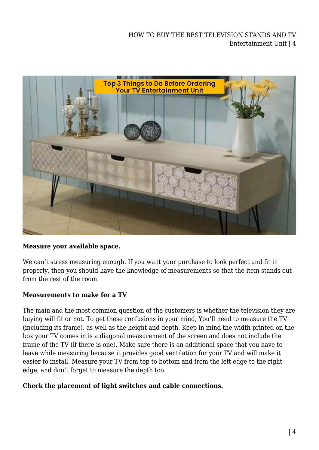

#### **Measure your available space.**

We can't stress measuring enough. If you want your purchase to look perfect and fit in properly, then you should have the knowledge of measurements so that the item stands out from the rest of the room.

#### **Measurements to make for a TV**

The main and the most common question of the customers is whether the television they are buying will fit or not. To get these confusions in your mind, You'll need to measure the TV (including its frame), as well as the height and depth. Keep in mind the width printed on the box your TV comes in is a diagonal measurement of the screen and does not include the frame of the TV (if there is one). Make sure there is an additional space that you have to leave while measuring because it provides good ventilation for your TV and will make it easier to install. Measure your TV from top to bottom and from the left edge to the right edge, and don't forget to measure the depth too.

#### **Check the placement of light switches and cable connections.**